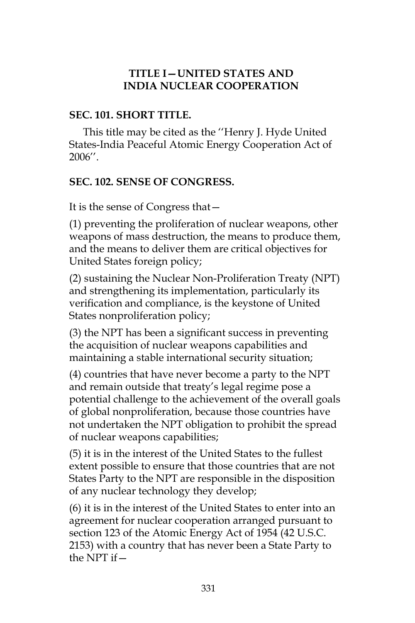#### **TITLE I—UNITED STATES AND INDIA NUCLEAR COOPERATION**

#### **SEC. 101. SHORT TITLE.**

This title may be cited as the ''Henry J. Hyde United States-India Peaceful Atomic Energy Cooperation Act of 2006''.

#### **SEC. 102. SENSE OF CONGRESS.**

It is the sense of Congress that—

(1) preventing the proliferation of nuclear weapons, other weapons of mass destruction, the means to produce them, and the means to deliver them are critical objectives for United States foreign policy;

(2) sustaining the Nuclear Non-Proliferation Treaty (NPT) and strengthening its implementation, particularly its verification and compliance, is the keystone of United States nonproliferation policy;

(3) the NPT has been a significant success in preventing the acquisition of nuclear weapons capabilities and maintaining a stable international security situation;

(4) countries that have never become a party to the NPT and remain outside that treaty's legal regime pose a potential challenge to the achievement of the overall goals of global nonproliferation, because those countries have not undertaken the NPT obligation to prohibit the spread of nuclear weapons capabilities;

(5) it is in the interest of the United States to the fullest extent possible to ensure that those countries that are not States Party to the NPT are responsible in the disposition of any nuclear technology they develop;

(6) it is in the interest of the United States to enter into an agreement for nuclear cooperation arranged pursuant to section 123 of the Atomic Energy Act of 1954 (42 U.S.C. 2153) with a country that has never been a State Party to the NPT if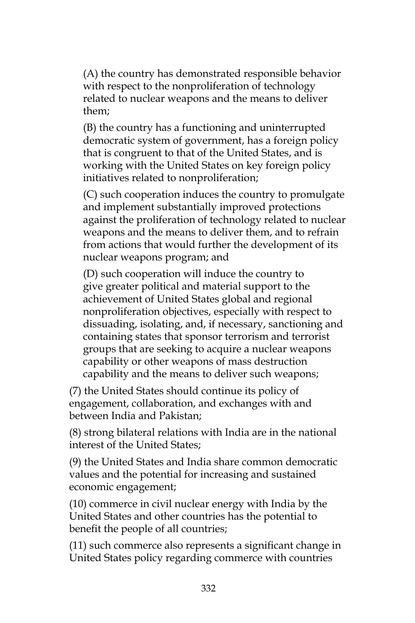(A) the country has demonstrated responsible behavior with respect to the nonproliferation of technology related to nuclear weapons and the means to deliver them;

(B) the country has a functioning and uninterrupted democratic system of government, has a foreign policy that is congruent to that of the United States, and is working with the United States on key foreign policy initiatives related to nonproliferation;

(C) such cooperation induces the country to promulgate and implement substantially improved protections against the proliferation of technology related to nuclear weapons and the means to deliver them, and to refrain from actions that would further the development of its nuclear weapons program; and

(D) such cooperation will induce the country to give greater political and material support to the achievement of United States global and regional nonproliferation objectives, especially with respect to dissuading, isolating, and, if necessary, sanctioning and containing states that sponsor terrorism and terrorist groups that are seeking to acquire a nuclear weapons capability or other weapons of mass destruction capability and the means to deliver such weapons;

(7) the United States should continue its policy of engagement, collaboration, and exchanges with and between India and Pakistan;

(8) strong bilateral relations with India are in the national interest of the United States;

(9) the United States and India share common democratic values and the potential for increasing and sustained economic engagement;

(10) commerce in civil nuclear energy with India by the United States and other countries has the potential to benefit the people of all countries;

(11) such commerce also represents a significant change in United States policy regarding commerce with countries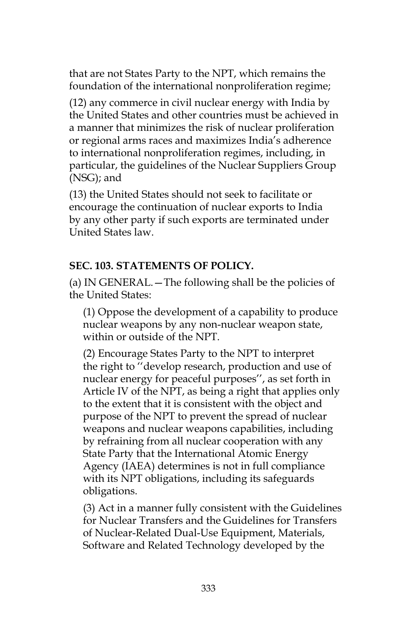that are not States Party to the NPT, which remains the foundation of the international nonproliferation regime;

(12) any commerce in civil nuclear energy with India by the United States and other countries must be achieved in a manner that minimizes the risk of nuclear proliferation or regional arms races and maximizes India's adherence to international nonproliferation regimes, including, in particular, the guidelines of the Nuclear Suppliers Group (NSG); and

(13) the United States should not seek to facilitate or encourage the continuation of nuclear exports to India by any other party if such exports are terminated under United States law.

#### **SEC. 103. STATEMENTS OF POLICY.**

(a) IN GENERAL.—The following shall be the policies of the United States:

(1) Oppose the development of a capability to produce nuclear weapons by any non-nuclear weapon state, within or outside of the NPT.

(2) Encourage States Party to the NPT to interpret the right to ''develop research, production and use of nuclear energy for peaceful purposes'', as set forth in Article IV of the NPT, as being a right that applies only to the extent that it is consistent with the object and purpose of the NPT to prevent the spread of nuclear weapons and nuclear weapons capabilities, including by refraining from all nuclear cooperation with any State Party that the International Atomic Energy Agency (IAEA) determines is not in full compliance with its NPT obligations, including its safeguards obligations.

(3) Act in a manner fully consistent with the Guidelines for Nuclear Transfers and the Guidelines for Transfers of Nuclear-Related Dual-Use Equipment, Materials, Software and Related Technology developed by the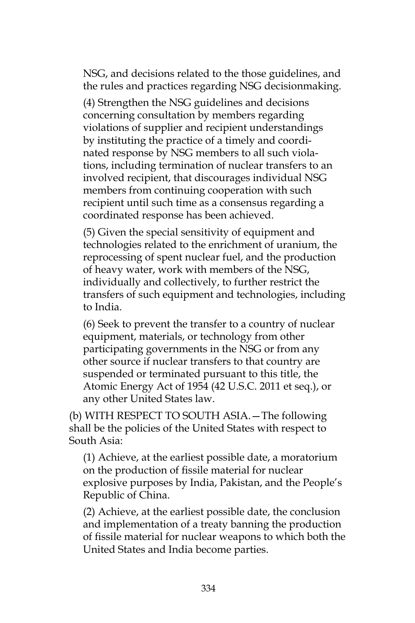NSG, and decisions related to the those guidelines, and the rules and practices regarding NSG decisionmaking.

(4) Strengthen the NSG guidelines and decisions concerning consultation by members regarding violations of supplier and recipient understandings by instituting the practice of a timely and coordinated response by NSG members to all such violations, including termination of nuclear transfers to an involved recipient, that discourages individual NSG members from continuing cooperation with such recipient until such time as a consensus regarding a coordinated response has been achieved.

(5) Given the special sensitivity of equipment and technologies related to the enrichment of uranium, the reprocessing of spent nuclear fuel, and the production of heavy water, work with members of the NSG, individually and collectively, to further restrict the transfers of such equipment and technologies, including to India.

(6) Seek to prevent the transfer to a country of nuclear equipment, materials, or technology from other participating governments in the NSG or from any other source if nuclear transfers to that country are suspended or terminated pursuant to this title, the Atomic Energy Act of 1954 (42 U.S.C. 2011 et seq.), or any other United States law.

(b) WITH RESPECT TO SOUTH ASIA.—The following shall be the policies of the United States with respect to South Asia:

(1) Achieve, at the earliest possible date, a moratorium on the production of fissile material for nuclear explosive purposes by India, Pakistan, and the People's Republic of China.

(2) Achieve, at the earliest possible date, the conclusion and implementation of a treaty banning the production of fissile material for nuclear weapons to which both the United States and India become parties.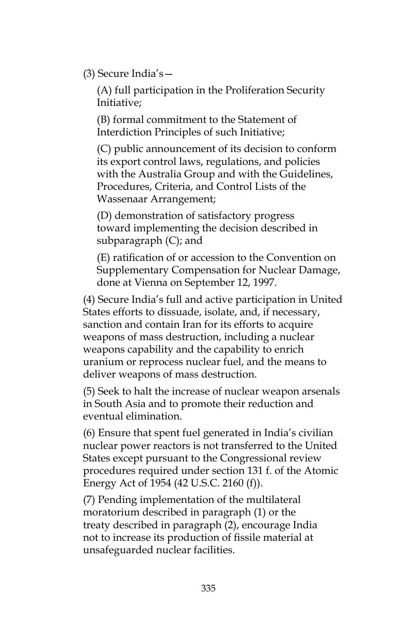(3) Secure India's—

(A) full participation in the Proliferation Security Initiative;

(B) formal commitment to the Statement of Interdiction Principles of such Initiative;

(C) public announcement of its decision to conform its export control laws, regulations, and policies with the Australia Group and with the Guidelines, Procedures, Criteria, and Control Lists of the Wassenaar Arrangement;

(D) demonstration of satisfactory progress toward implementing the decision described in subparagraph (C); and

(E) ratification of or accession to the Convention on Supplementary Compensation for Nuclear Damage, done at Vienna on September 12, 1997.

(4) Secure India's full and active participation in United States efforts to dissuade, isolate, and, if necessary, sanction and contain Iran for its efforts to acquire weapons of mass destruction, including a nuclear weapons capability and the capability to enrich uranium or reprocess nuclear fuel, and the means to deliver weapons of mass destruction.

(5) Seek to halt the increase of nuclear weapon arsenals in South Asia and to promote their reduction and eventual elimination.

(6) Ensure that spent fuel generated in India's civilian nuclear power reactors is not transferred to the United States except pursuant to the Congressional review procedures required under section 131 f. of the Atomic Energy Act of 1954 (42 U.S.C. 2160 (f)).

(7) Pending implementation of the multilateral moratorium described in paragraph (1) or the treaty described in paragraph (2), encourage India not to increase its production of fissile material at unsafeguarded nuclear facilities.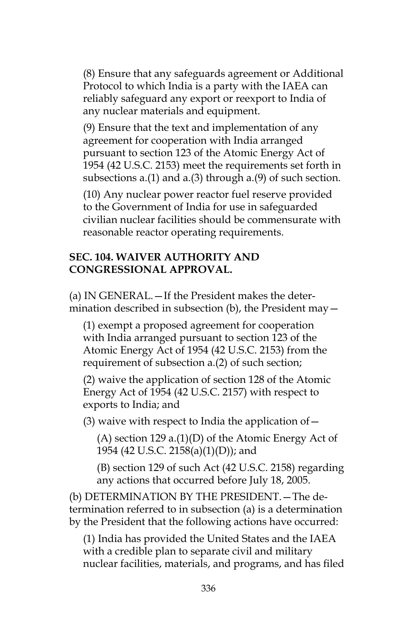(8) Ensure that any safeguards agreement or Additional Protocol to which India is a party with the IAEA can reliably safeguard any export or reexport to India of any nuclear materials and equipment.

(9) Ensure that the text and implementation of any agreement for cooperation with India arranged pursuant to section 123 of the Atomic Energy Act of 1954 (42 U.S.C. 2153) meet the requirements set forth in subsections a.(1) and a.(3) through a.(9) of such section.

(10) Any nuclear power reactor fuel reserve provided to the Government of India for use in safeguarded civilian nuclear facilities should be commensurate with reasonable reactor operating requirements.

### **SEC. 104. WAIVER AUTHORITY AND CONGRESSIONAL APPROVAL.**

(a) IN GENERAL.—If the President makes the determination described in subsection (b), the President may—

(1) exempt a proposed agreement for cooperation with India arranged pursuant to section 123 of the Atomic Energy Act of 1954 (42 U.S.C. 2153) from the requirement of subsection a.(2) of such section;

(2) waive the application of section 128 of the Atomic Energy Act of 1954 (42 U.S.C. 2157) with respect to exports to India; and

(3) waive with respect to India the application of  $-$ 

 $(A)$  section 129 a. $(1)(D)$  of the Atomic Energy Act of 1954 (42 U.S.C. 2158(a)(1)(D)); and

(B) section 129 of such Act (42 U.S.C. 2158) regarding any actions that occurred before July 18, 2005.

(b) DETERMINATION BY THE PRESIDENT.—The determination referred to in subsection (a) is a determination by the President that the following actions have occurred:

(1) India has provided the United States and the IAEA with a credible plan to separate civil and military nuclear facilities, materials, and programs, and has filed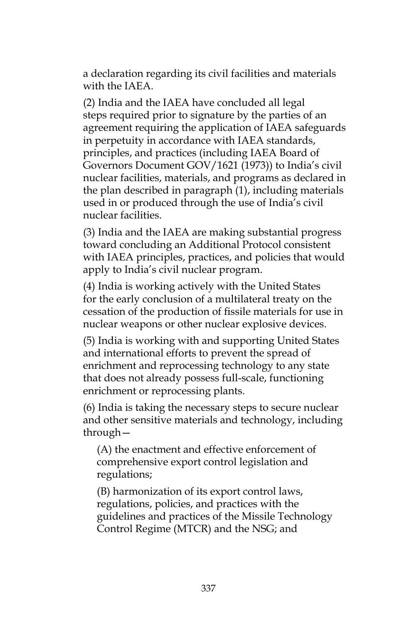a declaration regarding its civil facilities and materials with the IAEA.

(2) India and the IAEA have concluded all legal steps required prior to signature by the parties of an agreement requiring the application of IAEA safeguards in perpetuity in accordance with IAEA standards, principles, and practices (including IAEA Board of Governors Document GOV/1621 (1973)) to India's civil nuclear facilities, materials, and programs as declared in the plan described in paragraph (1), including materials used in or produced through the use of India's civil nuclear facilities.

(3) India and the IAEA are making substantial progress toward concluding an Additional Protocol consistent with IAEA principles, practices, and policies that would apply to India's civil nuclear program.

(4) India is working actively with the United States for the early conclusion of a multilateral treaty on the cessation of the production of fissile materials for use in nuclear weapons or other nuclear explosive devices.

(5) India is working with and supporting United States and international efforts to prevent the spread of enrichment and reprocessing technology to any state that does not already possess full-scale, functioning enrichment or reprocessing plants.

(6) India is taking the necessary steps to secure nuclear and other sensitive materials and technology, including through—

(A) the enactment and effective enforcement of comprehensive export control legislation and regulations;

(B) harmonization of its export control laws, regulations, policies, and practices with the guidelines and practices of the Missile Technology Control Regime (MTCR) and the NSG; and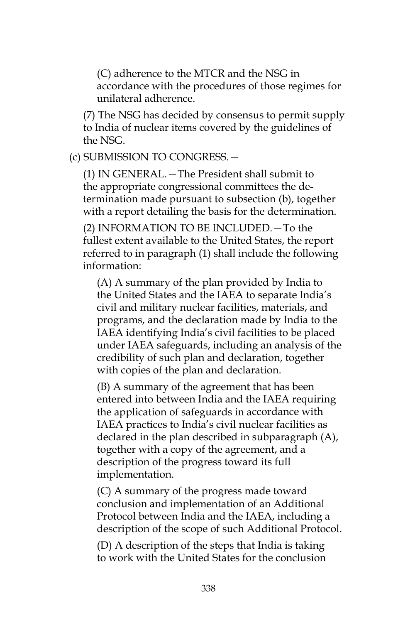(C) adherence to the MTCR and the NSG in accordance with the procedures of those regimes for unilateral adherence.

(7) The NSG has decided by consensus to permit supply to India of nuclear items covered by the guidelines of the NSG.

(c) SUBMISSION TO CONGRESS.—

(1) IN GENERAL.—The President shall submit to the appropriate congressional committees the determination made pursuant to subsection (b), together with a report detailing the basis for the determination.

(2) INFORMATION TO BE INCLUDED.—To the fullest extent available to the United States, the report referred to in paragraph (1) shall include the following information:

(A) A summary of the plan provided by India to the United States and the IAEA to separate India's civil and military nuclear facilities, materials, and programs, and the declaration made by India to the IAEA identifying India's civil facilities to be placed under IAEA safeguards, including an analysis of the credibility of such plan and declaration, together with copies of the plan and declaration.

(B) A summary of the agreement that has been entered into between India and the IAEA requiring the application of safeguards in accordance with IAEA practices to India's civil nuclear facilities as declared in the plan described in subparagraph (A), together with a copy of the agreement, and a description of the progress toward its full implementation.

(C) A summary of the progress made toward conclusion and implementation of an Additional Protocol between India and the IAEA, including a description of the scope of such Additional Protocol.

(D) A description of the steps that India is taking to work with the United States for the conclusion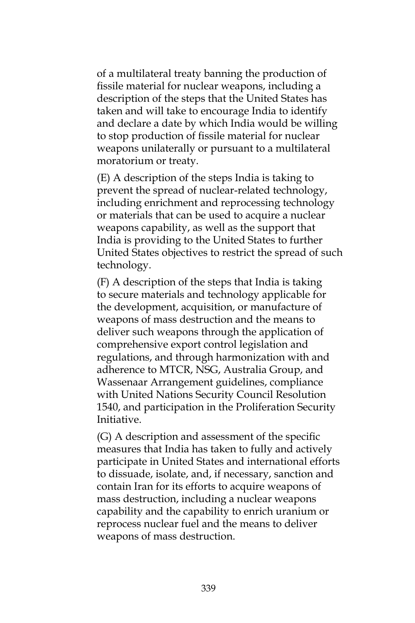of a multilateral treaty banning the production of fissile material for nuclear weapons, including a description of the steps that the United States has taken and will take to encourage India to identify and declare a date by which India would be willing to stop production of fissile material for nuclear weapons unilaterally or pursuant to a multilateral moratorium or treaty.

(E) A description of the steps India is taking to prevent the spread of nuclear-related technology, including enrichment and reprocessing technology or materials that can be used to acquire a nuclear weapons capability, as well as the support that India is providing to the United States to further United States objectives to restrict the spread of such technology.

(F) A description of the steps that India is taking to secure materials and technology applicable for the development, acquisition, or manufacture of weapons of mass destruction and the means to deliver such weapons through the application of comprehensive export control legislation and regulations, and through harmonization with and adherence to MTCR, NSG, Australia Group, and Wassenaar Arrangement guidelines, compliance with United Nations Security Council Resolution 1540, and participation in the Proliferation Security Initiative.

(G) A description and assessment of the specific measures that India has taken to fully and actively participate in United States and international efforts to dissuade, isolate, and, if necessary, sanction and contain Iran for its efforts to acquire weapons of mass destruction, including a nuclear weapons capability and the capability to enrich uranium or reprocess nuclear fuel and the means to deliver weapons of mass destruction.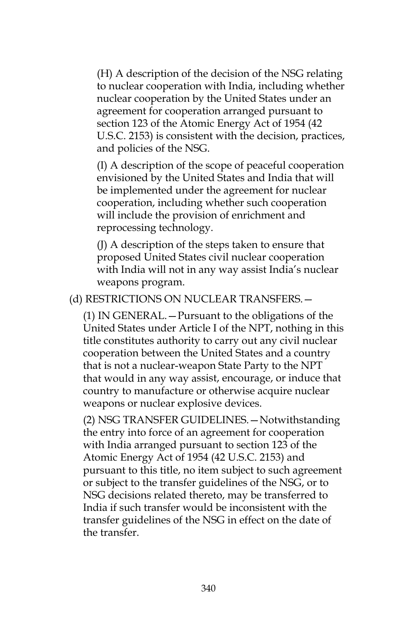(H) A description of the decision of the NSG relating to nuclear cooperation with India, including whether nuclear cooperation by the United States under an agreement for cooperation arranged pursuant to section 123 of the Atomic Energy Act of 1954 (42 U.S.C. 2153) is consistent with the decision, practices, and policies of the NSG.

(I) A description of the scope of peaceful cooperation envisioned by the United States and India that will be implemented under the agreement for nuclear cooperation, including whether such cooperation will include the provision of enrichment and reprocessing technology.

(J) A description of the steps taken to ensure that proposed United States civil nuclear cooperation with India will not in any way assist India's nuclear weapons program.

(d) RESTRICTIONS ON NUCLEAR TRANSFERS.—

(1) IN GENERAL.—Pursuant to the obligations of the United States under Article I of the NPT, nothing in this title constitutes authority to carry out any civil nuclear cooperation between the United States and a country that is not a nuclear-weapon State Party to the NPT that would in any way assist, encourage, or induce that country to manufacture or otherwise acquire nuclear weapons or nuclear explosive devices.

(2) NSG TRANSFER GUIDELINES.—Notwithstanding the entry into force of an agreement for cooperation with India arranged pursuant to section 123 of the Atomic Energy Act of 1954 (42 U.S.C. 2153) and pursuant to this title, no item subject to such agreement or subject to the transfer guidelines of the NSG, or to NSG decisions related thereto, may be transferred to India if such transfer would be inconsistent with the transfer guidelines of the NSG in effect on the date of the transfer.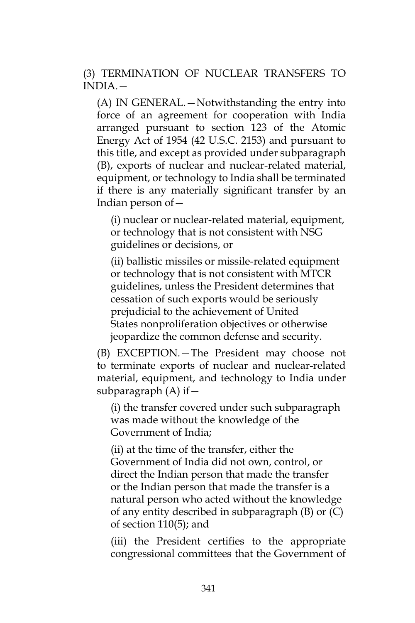(3) TERMINATION OF NUCLEAR TRANSFERS TO INDIA.—

(A) IN GENERAL.—Notwithstanding the entry into force of an agreement for cooperation with India arranged pursuant to section 123 of the Atomic Energy Act of 1954 (42 U.S.C. 2153) and pursuant to this title, and except as provided under subparagraph (B), exports of nuclear and nuclear-related material, equipment, or technology to India shall be terminated if there is any materially significant transfer by an Indian person of—

(i) nuclear or nuclear-related material, equipment, or technology that is not consistent with NSG guidelines or decisions, or

(ii) ballistic missiles or missile-related equipment or technology that is not consistent with MTCR guidelines, unless the President determines that cessation of such exports would be seriously prejudicial to the achievement of United States nonproliferation objectives or otherwise jeopardize the common defense and security.

(B) EXCEPTION.—The President may choose not to terminate exports of nuclear and nuclear-related material, equipment, and technology to India under subparagraph  $(A)$  if  $-$ 

(i) the transfer covered under such subparagraph was made without the knowledge of the Government of India;

(ii) at the time of the transfer, either the Government of India did not own, control, or direct the Indian person that made the transfer or the Indian person that made the transfer is a natural person who acted without the knowledge of any entity described in subparagraph (B) or (C) of section 110(5); and

(iii) the President certifies to the appropriate congressional committees that the Government of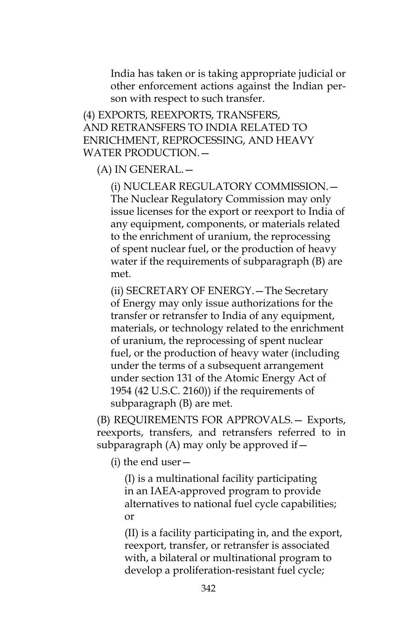India has taken or is taking appropriate judicial or other enforcement actions against the Indian person with respect to such transfer.

(4) EXPORTS, REEXPORTS, TRANSFERS, AND RETRANSFERS TO INDIA RELATED TO ENRICHMENT, REPROCESSING, AND HEAVY WATER PRODUCTION.—

(A) IN GENERAL.—

(i) NUCLEAR REGULATORY COMMISSION.— The Nuclear Regulatory Commission may only issue licenses for the export or reexport to India of any equipment, components, or materials related to the enrichment of uranium, the reprocessing of spent nuclear fuel, or the production of heavy water if the requirements of subparagraph (B) are met.

(ii) SECRETARY OF ENERGY.—The Secretary of Energy may only issue authorizations for the transfer or retransfer to India of any equipment, materials, or technology related to the enrichment of uranium, the reprocessing of spent nuclear fuel, or the production of heavy water (including under the terms of a subsequent arrangement under section 131 of the Atomic Energy Act of 1954 (42 U.S.C. 2160)) if the requirements of subparagraph (B) are met.

(B) REQUIREMENTS FOR APPROVALS.— Exports, reexports, transfers, and retransfers referred to in subparagraph (A) may only be approved if—

(i) the end user—

(I) is a multinational facility participating in an IAEA-approved program to provide alternatives to national fuel cycle capabilities; or

(II) is a facility participating in, and the export, reexport, transfer, or retransfer is associated with, a bilateral or multinational program to develop a proliferation-resistant fuel cycle;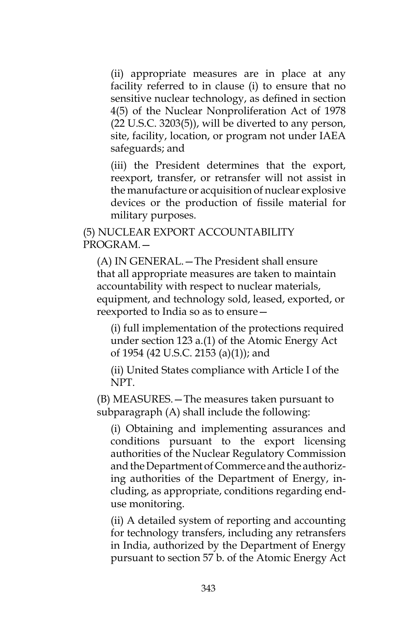(ii) appropriate measures are in place at any facility referred to in clause (i) to ensure that no sensitive nuclear technology, as defined in section 4(5) of the Nuclear Nonproliferation Act of 1978 (22 U.S.C. 3203(5)), will be diverted to any person, site, facility, location, or program not under IAEA safeguards; and

(iii) the President determines that the export, reexport, transfer, or retransfer will not assist in the manufacture or acquisition of nuclear explosive devices or the production of fissile material for military purposes.

(5) NUCLEAR EXPORT ACCOUNTABILITY PROGRAM.—

(A) IN GENERAL.—The President shall ensure that all appropriate measures are taken to maintain accountability with respect to nuclear materials, equipment, and technology sold, leased, exported, or reexported to India so as to ensure—

(i) full implementation of the protections required under section 123 a.(1) of the Atomic Energy Act of 1954 (42 U.S.C. 2153 (a)(1)); and

(ii) United States compliance with Article I of the NPT.

(B) MEASURES.—The measures taken pursuant to subparagraph (A) shall include the following:

(i) Obtaining and implementing assurances and conditions pursuant to the export licensing authorities of the Nuclear Regulatory Commission and the Department of Commerce and the authorizing authorities of the Department of Energy, including, as appropriate, conditions regarding enduse monitoring.

(ii) A detailed system of reporting and accounting for technology transfers, including any retransfers in India, authorized by the Department of Energy pursuant to section 57 b. of the Atomic Energy Act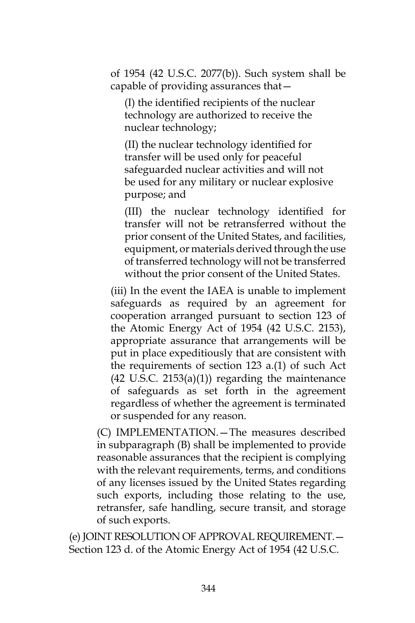of 1954 (42 U.S.C. 2077(b)). Such system shall be capable of providing assurances that—

(I) the identified recipients of the nuclear technology are authorized to receive the nuclear technology;

(II) the nuclear technology identified for transfer will be used only for peaceful safeguarded nuclear activities and will not be used for any military or nuclear explosive purpose; and

(III) the nuclear technology identified for transfer will not be retransferred without the prior consent of the United States, and facilities, equipment, or materials derived through the use of transferred technology will not be transferred without the prior consent of the United States.

(iii) In the event the IAEA is unable to implement safeguards as required by an agreement for cooperation arranged pursuant to section 123 of the Atomic Energy Act of 1954 (42 U.S.C. 2153), appropriate assurance that arrangements will be put in place expeditiously that are consistent with the requirements of section 123 a.(1) of such Act  $(42 \text{ U.S.C. } 2153(a)(1))$  regarding the maintenance of safeguards as set forth in the agreement regardless of whether the agreement is terminated or suspended for any reason.

(C) IMPLEMENTATION.—The measures described in subparagraph (B) shall be implemented to provide reasonable assurances that the recipient is complying with the relevant requirements, terms, and conditions of any licenses issued by the United States regarding such exports, including those relating to the use, retransfer, safe handling, secure transit, and storage of such exports.

(e) JOINT RESOLUTION OF APPROVAL REQUIREMENT.— Section 123 d. of the Atomic Energy Act of 1954 (42 U.S.C.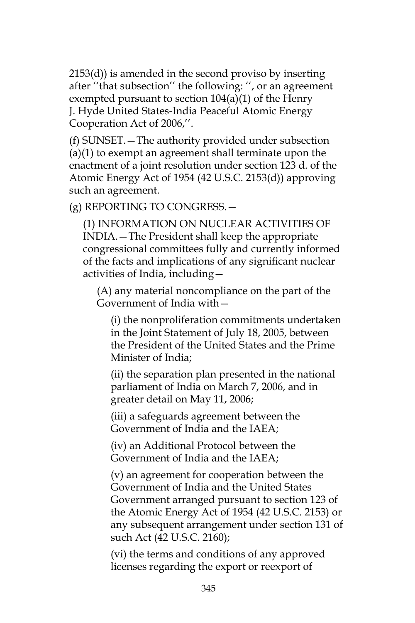2153(d)) is amended in the second proviso by inserting after ''that subsection'' the following: '', or an agreement exempted pursuant to section 104(a)(1) of the Henry J. Hyde United States-India Peaceful Atomic Energy Cooperation Act of 2006,''.

(f) SUNSET.—The authority provided under subsection (a)(1) to exempt an agreement shall terminate upon the enactment of a joint resolution under section 123 d. of the Atomic Energy Act of 1954 (42 U.S.C. 2153(d)) approving such an agreement.

(g) REPORTING TO CONGRESS.—

(1) INFORMATION ON NUCLEAR ACTIVITIES OF INDIA.—The President shall keep the appropriate congressional committees fully and currently informed of the facts and implications of any significant nuclear activities of India, including—

(A) any material noncompliance on the part of the Government of India with—

(i) the nonproliferation commitments undertaken in the Joint Statement of July 18, 2005, between the President of the United States and the Prime Minister of India;

(ii) the separation plan presented in the national parliament of India on March 7, 2006, and in greater detail on May 11, 2006;

(iii) a safeguards agreement between the Government of India and the IAEA;

(iv) an Additional Protocol between the Government of India and the IAEA;

(v) an agreement for cooperation between the Government of India and the United States Government arranged pursuant to section 123 of the Atomic Energy Act of 1954 (42 U.S.C. 2153) or any subsequent arrangement under section 131 of such Act (42 U.S.C. 2160);

(vi) the terms and conditions of any approved licenses regarding the export or reexport of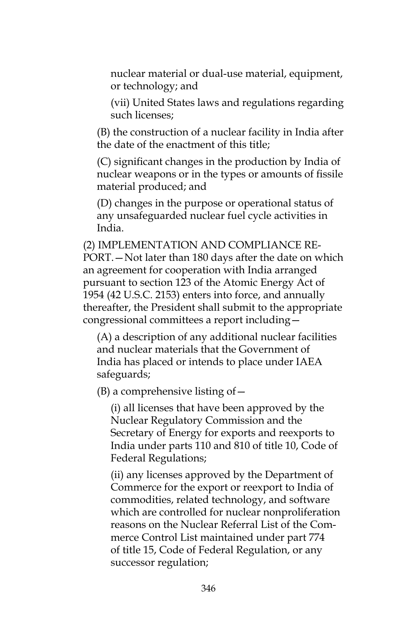nuclear material or dual-use material, equipment, or technology; and

(vii) United States laws and regulations regarding such licenses;

(B) the construction of a nuclear facility in India after the date of the enactment of this title;

(C) significant changes in the production by India of nuclear weapons or in the types or amounts of fissile material produced; and

(D) changes in the purpose or operational status of any unsafeguarded nuclear fuel cycle activities in India.

(2) IMPLEMENTATION AND COMPLIANCE RE-PORT.—Not later than 180 days after the date on which an agreement for cooperation with India arranged pursuant to section 123 of the Atomic Energy Act of 1954 (42 U.S.C. 2153) enters into force, and annually thereafter, the President shall submit to the appropriate congressional committees a report including—

(A) a description of any additional nuclear facilities and nuclear materials that the Government of India has placed or intends to place under IAEA safeguards;

 $(B)$  a comprehensive listing of  $-$ 

(i) all licenses that have been approved by the Nuclear Regulatory Commission and the Secretary of Energy for exports and reexports to India under parts 110 and 810 of title 10, Code of Federal Regulations;

(ii) any licenses approved by the Department of Commerce for the export or reexport to India of commodities, related technology, and software which are controlled for nuclear nonproliferation reasons on the Nuclear Referral List of the Commerce Control List maintained under part 774 of title 15, Code of Federal Regulation, or any successor regulation;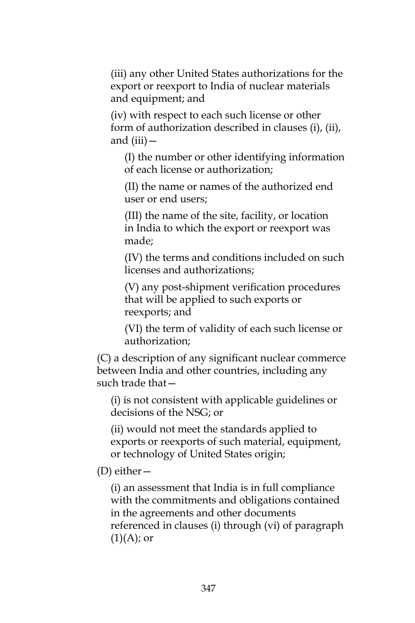(iii) any other United States authorizations for the export or reexport to India of nuclear materials and equipment; and

(iv) with respect to each such license or other form of authorization described in clauses (i), (ii), and (iii)—

(I) the number or other identifying information of each license or authorization;

(II) the name or names of the authorized end user or end users;

(III) the name of the site, facility, or location in India to which the export or reexport was made;

(IV) the terms and conditions included on such licenses and authorizations;

(V) any post-shipment verification procedures that will be applied to such exports or reexports; and

(VI) the term of validity of each such license or authorization;

(C) a description of any significant nuclear commerce between India and other countries, including any such trade that—

(i) is not consistent with applicable guidelines or decisions of the NSG; or

(ii) would not meet the standards applied to exports or reexports of such material, equipment, or technology of United States origin;

(D) either—

(i) an assessment that India is in full compliance with the commitments and obligations contained in the agreements and other documents referenced in clauses (i) through (vi) of paragraph  $(1)(A)$ ; or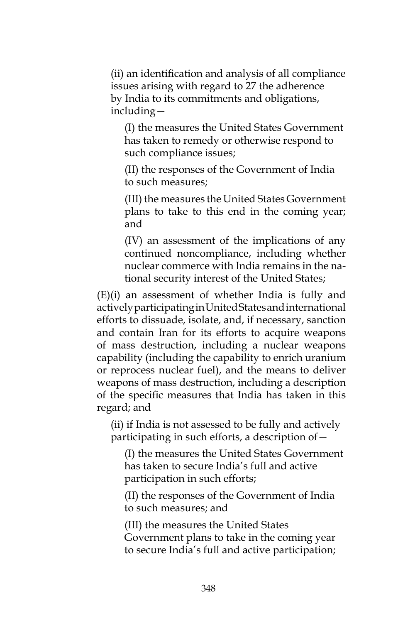(ii) an identification and analysis of all compliance issues arising with regard to 27 the adherence by India to its commitments and obligations, including—

(I) the measures the United States Government has taken to remedy or otherwise respond to such compliance issues;

(II) the responses of the Government of India to such measures;

(III) the measures the United States Government plans to take to this end in the coming year; and

(IV) an assessment of the implications of any continued noncompliance, including whether nuclear commerce with India remains in the national security interest of the United States;

(E)(i) an assessment of whether India is fully and actively participating in United States and international efforts to dissuade, isolate, and, if necessary, sanction and contain Iran for its efforts to acquire weapons of mass destruction, including a nuclear weapons capability (including the capability to enrich uranium or reprocess nuclear fuel), and the means to deliver weapons of mass destruction, including a description of the specific measures that India has taken in this regard; and

(ii) if India is not assessed to be fully and actively participating in such efforts, a description of—

(I) the measures the United States Government has taken to secure India's full and active participation in such efforts;

(II) the responses of the Government of India to such measures; and

(III) the measures the United States Government plans to take in the coming year to secure India's full and active participation;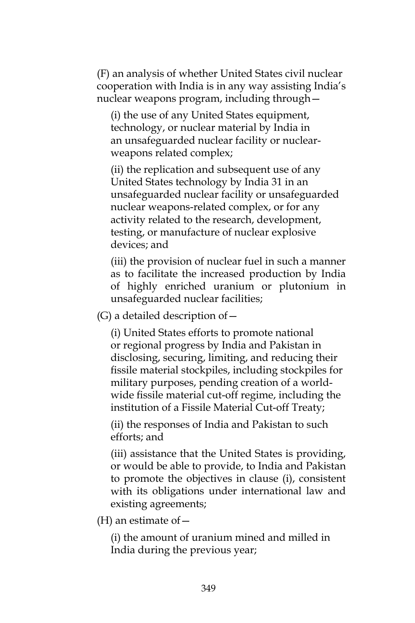(F) an analysis of whether United States civil nuclear cooperation with India is in any way assisting India's nuclear weapons program, including through—

(i) the use of any United States equipment, technology, or nuclear material by India in an unsafeguarded nuclear facility or nuclearweapons related complex;

(ii) the replication and subsequent use of any United States technology by India 31 in an unsafeguarded nuclear facility or unsafeguarded nuclear weapons-related complex, or for any activity related to the research, development, testing, or manufacture of nuclear explosive devices; and

(iii) the provision of nuclear fuel in such a manner as to facilitate the increased production by India of highly enriched uranium or plutonium in unsafeguarded nuclear facilities;

 $(G)$  a detailed description of  $-$ 

(i) United States efforts to promote national or regional progress by India and Pakistan in disclosing, securing, limiting, and reducing their fissile material stockpiles, including stockpiles for military purposes, pending creation of a worldwide fissile material cut-off regime, including the institution of a Fissile Material Cut-off Treaty;

(ii) the responses of India and Pakistan to such efforts; and

(iii) assistance that the United States is providing, or would be able to provide, to India and Pakistan to promote the objectives in clause (i), consistent with its obligations under international law and existing agreements;

(H) an estimate of  $-$ 

(i) the amount of uranium mined and milled in India during the previous year;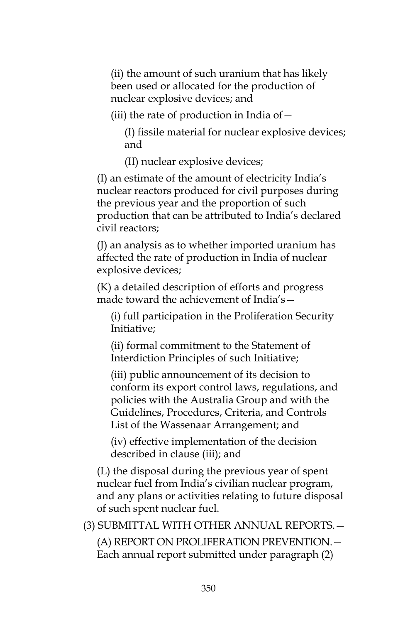(ii) the amount of such uranium that has likely been used or allocated for the production of nuclear explosive devices; and

(iii) the rate of production in India of—

(I) fissile material for nuclear explosive devices; and

(II) nuclear explosive devices;

(I) an estimate of the amount of electricity India's nuclear reactors produced for civil purposes during the previous year and the proportion of such production that can be attributed to India's declared civil reactors;

(J) an analysis as to whether imported uranium has affected the rate of production in India of nuclear explosive devices;

(K) a detailed description of efforts and progress made toward the achievement of India's-

(i) full participation in the Proliferation Security Initiative;

(ii) formal commitment to the Statement of Interdiction Principles of such Initiative;

(iii) public announcement of its decision to conform its export control laws, regulations, and policies with the Australia Group and with the Guidelines, Procedures, Criteria, and Controls List of the Wassenaar Arrangement; and

(iv) effective implementation of the decision described in clause (iii); and

(L) the disposal during the previous year of spent nuclear fuel from India's civilian nuclear program, and any plans or activities relating to future disposal of such spent nuclear fuel.

(3) SUBMITTAL WITH OTHER ANNUAL REPORTS.—

(A) REPORT ON PROLIFERATION PREVENTION.— Each annual report submitted under paragraph (2)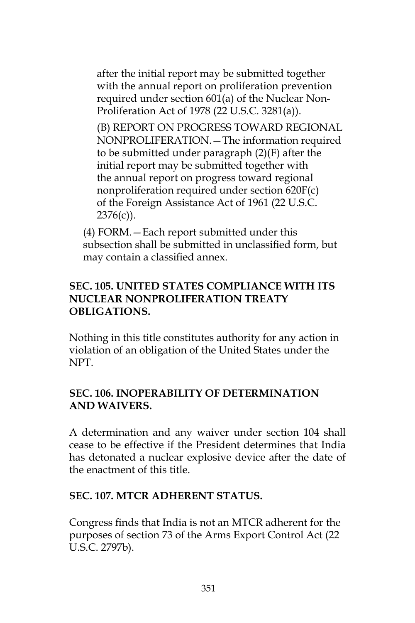after the initial report may be submitted together with the annual report on proliferation prevention required under section 601(a) of the Nuclear Non-Proliferation Act of 1978 (22 U.S.C. 3281(a)).

(B) REPORT ON PROGRESS TOWARD REGIONAL NONPROLIFERATION.—The information required to be submitted under paragraph (2)(F) after the initial report may be submitted together with the annual report on progress toward regional nonproliferation required under section 620F(c) of the Foreign Assistance Act of 1961 (22 U.S.C.  $2376(c)$ ).

(4) FORM.—Each report submitted under this subsection shall be submitted in unclassified form, but may contain a classified annex.

## **SEC. 105. UNITED STATES COMPLIANCE WITH ITS NUCLEAR NONPROLIFERATION TREATY OBLIGATIONS.**

Nothing in this title constitutes authority for any action in violation of an obligation of the United States under the NPT.

## **SEC. 106. INOPERABILITY OF DETERMINATION AND WAIVERS.**

A determination and any waiver under section 104 shall cease to be effective if the President determines that India has detonated a nuclear explosive device after the date of the enactment of this title.

#### **SEC. 107. MTCR ADHERENT STATUS.**

Congress finds that India is not an MTCR adherent for the purposes of section 73 of the Arms Export Control Act (22 U.S.C. 2797b).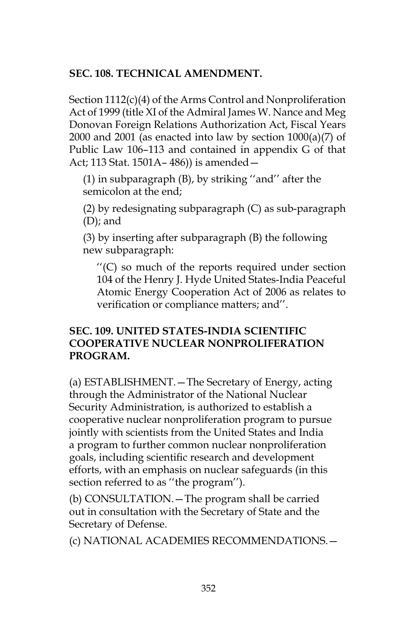#### **SEC. 108. TECHNICAL AMENDMENT.**

Section 1112(c)(4) of the Arms Control and Nonproliferation Act of 1999 (title XI of the Admiral James W. Nance and Meg Donovan Foreign Relations Authorization Act, Fiscal Years 2000 and 2001 (as enacted into law by section  $1000(a)(7)$  of Public Law 106–113 and contained in appendix G of that Act; 113 Stat. 1501A– 486)) is amended—

(1) in subparagraph (B), by striking ''and'' after the semicolon at the end;

(2) by redesignating subparagraph (C) as sub-paragraph (D); and

(3) by inserting after subparagraph (B) the following new subparagraph:

''(C) so much of the reports required under section 104 of the Henry J. Hyde United States-India Peaceful Atomic Energy Cooperation Act of 2006 as relates to verification or compliance matters; and''.

#### **SEC. 109. UNITED STATES-INDIA SCIENTIFIC COOPERATIVE NUCLEAR NONPROLIFERATION PROGRAM.**

(a) ESTABLISHMENT.—The Secretary of Energy, acting through the Administrator of the National Nuclear Security Administration, is authorized to establish a cooperative nuclear nonproliferation program to pursue jointly with scientists from the United States and India a program to further common nuclear nonproliferation goals, including scientific research and development efforts, with an emphasis on nuclear safeguards (in this section referred to as ''the program'').

(b) CONSULTATION.—The program shall be carried out in consultation with the Secretary of State and the Secretary of Defense.

(c) NATIONAL ACADEMIES RECOMMENDATIONS.—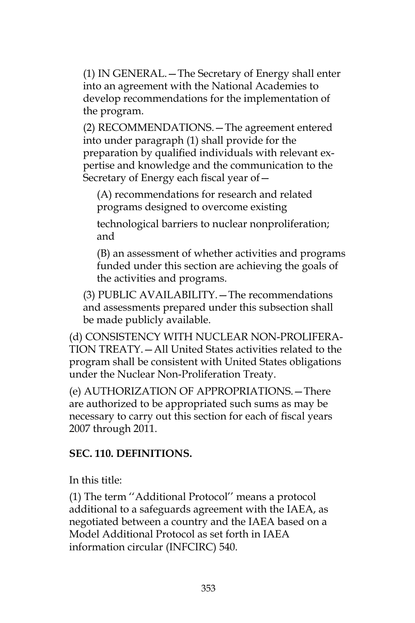(1) IN GENERAL.—The Secretary of Energy shall enter into an agreement with the National Academies to develop recommendations for the implementation of the program.

(2) RECOMMENDATIONS.—The agreement entered into under paragraph (1) shall provide for the preparation by qualified individuals with relevant expertise and knowledge and the communication to the Secretary of Energy each fiscal year of—

(A) recommendations for research and related programs designed to overcome existing

technological barriers to nuclear nonproliferation; and

(B) an assessment of whether activities and programs funded under this section are achieving the goals of the activities and programs.

(3) PUBLIC AVAILABILITY.—The recommendations and assessments prepared under this subsection shall be made publicly available.

(d) CONSISTENCY WITH NUCLEAR NON-PROLIFERA-TION TREATY.—All United States activities related to the program shall be consistent with United States obligations under the Nuclear Non-Proliferation Treaty.

(e) AUTHORIZATION OF APPROPRIATIONS.—There are authorized to be appropriated such sums as may be necessary to carry out this section for each of fiscal years 2007 through 2011.

## **SEC. 110. DEFINITIONS.**

In this title:

(1) The term ''Additional Protocol'' means a protocol additional to a safeguards agreement with the IAEA, as negotiated between a country and the IAEA based on a Model Additional Protocol as set forth in IAEA information circular (INFCIRC) 540.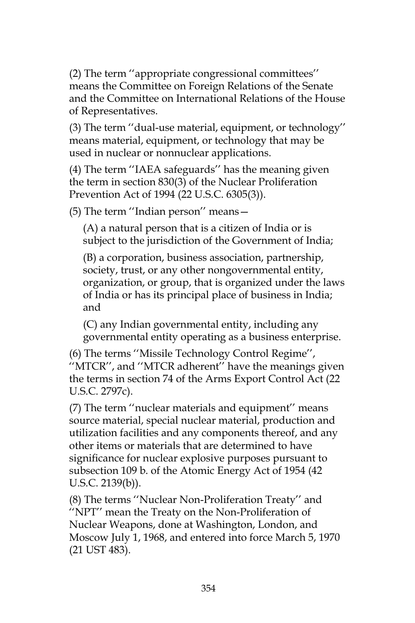(2) The term ''appropriate congressional committees'' means the Committee on Foreign Relations of the Senate and the Committee on International Relations of the House of Representatives.

(3) The term ''dual-use material, equipment, or technology'' means material, equipment, or technology that may be used in nuclear or nonnuclear applications.

(4) The term ''IAEA safeguards'' has the meaning given the term in section 830(3) of the Nuclear Proliferation Prevention Act of 1994 (22 U.S.C. 6305(3)).

(5) The term ''Indian person'' means—

(A) a natural person that is a citizen of India or is subject to the jurisdiction of the Government of India;

(B) a corporation, business association, partnership, society, trust, or any other nongovernmental entity, organization, or group, that is organized under the laws of India or has its principal place of business in India; and

(C) any Indian governmental entity, including any governmental entity operating as a business enterprise.

(6) The terms ''Missile Technology Control Regime'', ''MTCR'', and ''MTCR adherent'' have the meanings given the terms in section 74 of the Arms Export Control Act (22 U.S.C. 2797c).

(7) The term ''nuclear materials and equipment'' means source material, special nuclear material, production and utilization facilities and any components thereof, and any other items or materials that are determined to have significance for nuclear explosive purposes pursuant to subsection 109 b. of the Atomic Energy Act of 1954 (42 U.S.C. 2139(b)).

(8) The terms ''Nuclear Non-Proliferation Treaty'' and ''NPT'' mean the Treaty on the Non-Proliferation of Nuclear Weapons, done at Washington, London, and Moscow July 1, 1968, and entered into force March 5, 1970 (21 UST 483).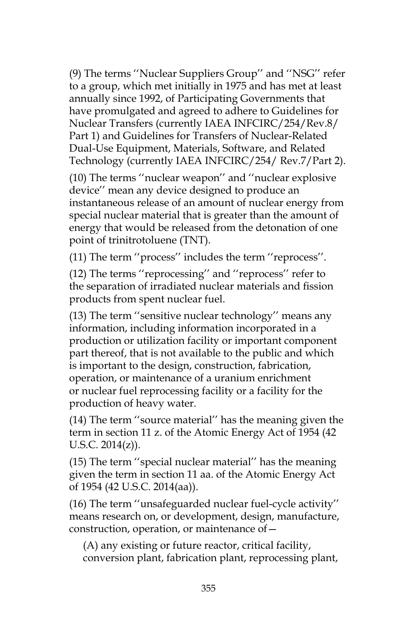(9) The terms ''Nuclear Suppliers Group'' and ''NSG'' refer to a group, which met initially in 1975 and has met at least annually since 1992, of Participating Governments that have promulgated and agreed to adhere to Guidelines for Nuclear Transfers (currently IAEA INFCIRC/254/Rev.8/ Part 1) and Guidelines for Transfers of Nuclear-Related Dual-Use Equipment, Materials, Software, and Related Technology (currently IAEA INFCIRC/254/ Rev.7/Part 2).

(10) The terms ''nuclear weapon'' and ''nuclear explosive device'' mean any device designed to produce an instantaneous release of an amount of nuclear energy from special nuclear material that is greater than the amount of energy that would be released from the detonation of one point of trinitrotoluene (TNT).

(11) The term ''process'' includes the term ''reprocess''.

(12) The terms ''reprocessing'' and ''reprocess'' refer to the separation of irradiated nuclear materials and fission products from spent nuclear fuel.

(13) The term ''sensitive nuclear technology'' means any information, including information incorporated in a production or utilization facility or important component part thereof, that is not available to the public and which is important to the design, construction, fabrication, operation, or maintenance of a uranium enrichment or nuclear fuel reprocessing facility or a facility for the production of heavy water.

(14) The term ''source material'' has the meaning given the term in section 11 z. of the Atomic Energy Act of 1954 (42 U.S.C. 2014(z)).

(15) The term ''special nuclear material'' has the meaning given the term in section 11 aa. of the Atomic Energy Act of 1954 (42 U.S.C. 2014(aa)).

(16) The term ''unsafeguarded nuclear fuel-cycle activity'' means research on, or development, design, manufacture, construction, operation, or maintenance of—

(A) any existing or future reactor, critical facility, conversion plant, fabrication plant, reprocessing plant,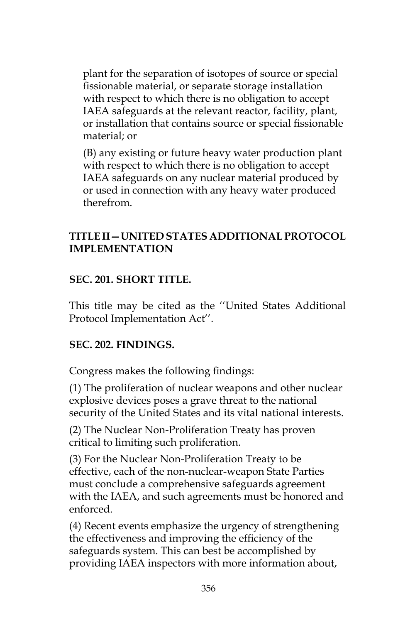plant for the separation of isotopes of source or special fissionable material, or separate storage installation with respect to which there is no obligation to accept IAEA safeguards at the relevant reactor, facility, plant, or installation that contains source or special fissionable material; or

(B) any existing or future heavy water production plant with respect to which there is no obligation to accept IAEA safeguards on any nuclear material produced by or used in connection with any heavy water produced therefrom.

#### **TITLE II—UNITED STATES ADDITIONAL PROTOCOL IMPLEMENTATION**

## **SEC. 201. SHORT TITLE.**

This title may be cited as the ''United States Additional Protocol Implementation Act''.

#### **SEC. 202. FINDINGS.**

Congress makes the following findings:

(1) The proliferation of nuclear weapons and other nuclear explosive devices poses a grave threat to the national security of the United States and its vital national interests.

(2) The Nuclear Non-Proliferation Treaty has proven critical to limiting such proliferation.

(3) For the Nuclear Non-Proliferation Treaty to be effective, each of the non-nuclear-weapon State Parties must conclude a comprehensive safeguards agreement with the IAEA, and such agreements must be honored and enforced.

(4) Recent events emphasize the urgency of strengthening the effectiveness and improving the efficiency of the safeguards system. This can best be accomplished by providing IAEA inspectors with more information about,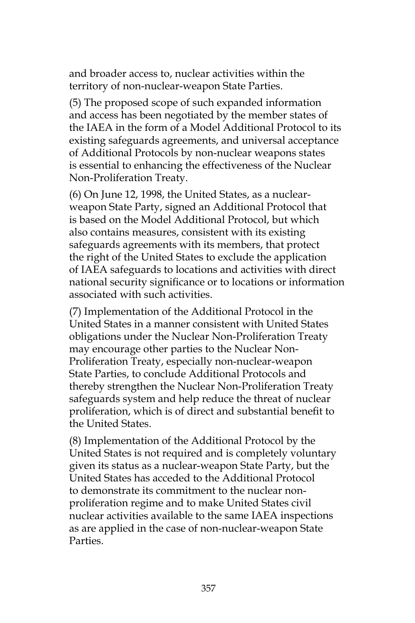and broader access to, nuclear activities within the territory of non-nuclear-weapon State Parties.

(5) The proposed scope of such expanded information and access has been negotiated by the member states of the IAEA in the form of a Model Additional Protocol to its existing safeguards agreements, and universal acceptance of Additional Protocols by non-nuclear weapons states is essential to enhancing the effectiveness of the Nuclear Non-Proliferation Treaty.

(6) On June 12, 1998, the United States, as a nuclearweapon State Party, signed an Additional Protocol that is based on the Model Additional Protocol, but which also contains measures, consistent with its existing safeguards agreements with its members, that protect the right of the United States to exclude the application of IAEA safeguards to locations and activities with direct national security significance or to locations or information associated with such activities.

(7) Implementation of the Additional Protocol in the United States in a manner consistent with United States obligations under the Nuclear Non-Proliferation Treaty may encourage other parties to the Nuclear Non-Proliferation Treaty, especially non-nuclear-weapon State Parties, to conclude Additional Protocols and thereby strengthen the Nuclear Non-Proliferation Treaty safeguards system and help reduce the threat of nuclear proliferation, which is of direct and substantial benefit to the United States.

(8) Implementation of the Additional Protocol by the United States is not required and is completely voluntary given its status as a nuclear-weapon State Party, but the United States has acceded to the Additional Protocol to demonstrate its commitment to the nuclear nonproliferation regime and to make United States civil nuclear activities available to the same IAEA inspections as are applied in the case of non-nuclear-weapon State Parties.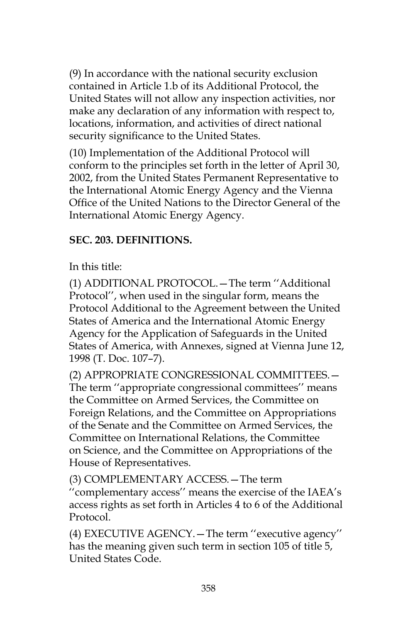(9) In accordance with the national security exclusion contained in Article 1.b of its Additional Protocol, the United States will not allow any inspection activities, nor make any declaration of any information with respect to, locations, information, and activities of direct national security significance to the United States.

(10) Implementation of the Additional Protocol will conform to the principles set forth in the letter of April 30, 2002, from the United States Permanent Representative to the International Atomic Energy Agency and the Vienna Office of the United Nations to the Director General of the International Atomic Energy Agency.

## **SEC. 203. DEFINITIONS.**

In this title:

(1) ADDITIONAL PROTOCOL.—The term ''Additional Protocol'', when used in the singular form, means the Protocol Additional to the Agreement between the United States of America and the International Atomic Energy Agency for the Application of Safeguards in the United States of America, with Annexes, signed at Vienna June 12, 1998 (T. Doc. 107–7).

(2) APPROPRIATE CONGRESSIONAL COMMITTEES.— The term ''appropriate congressional committees'' means the Committee on Armed Services, the Committee on Foreign Relations, and the Committee on Appropriations of the Senate and the Committee on Armed Services, the Committee on International Relations, the Committee on Science, and the Committee on Appropriations of the House of Representatives.

(3) COMPLEMENTARY ACCESS.—The term ''complementary access'' means the exercise of the IAEA's access rights as set forth in Articles 4 to 6 of the Additional Protocol.

(4) EXECUTIVE AGENCY.—The term ''executive agency'' has the meaning given such term in section 105 of title 5, United States Code.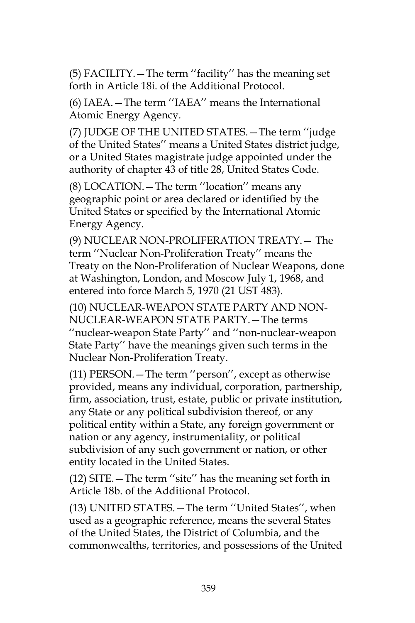(5) FACILITY.—The term ''facility'' has the meaning set forth in Article 18i. of the Additional Protocol.

(6) IAEA.—The term ''IAEA'' means the International Atomic Energy Agency.

(7) JUDGE OF THE UNITED STATES.—The term ''judge of the United States'' means a United States district judge, or a United States magistrate judge appointed under the authority of chapter 43 of title 28, United States Code.

(8) LOCATION.—The term ''location'' means any geographic point or area declared or identified by the United States or specified by the International Atomic Energy Agency.

(9) NUCLEAR NON-PROLIFERATION TREATY.— The term ''Nuclear Non-Proliferation Treaty'' means the Treaty on the Non-Proliferation of Nuclear Weapons, done at Washington, London, and Moscow July 1, 1968, and entered into force March 5, 1970 (21 UST 483).

(10) NUCLEAR-WEAPON STATE PARTY AND NON-NUCLEAR-WEAPON STATE PARTY.—The terms ''nuclear-weapon State Party'' and ''non-nuclear-weapon State Party'' have the meanings given such terms in the Nuclear Non-Proliferation Treaty.

(11) PERSON.—The term ''person'', except as otherwise provided, means any individual, corporation, partnership, firm, association, trust, estate, public or private institution, any State or any political subdivision thereof, or any political entity within a State, any foreign government or nation or any agency, instrumentality, or political subdivision of any such government or nation, or other entity located in the United States.

(12) SITE.—The term ''site'' has the meaning set forth in Article 18b. of the Additional Protocol.

(13) UNITED STATES.—The term ''United States'', when used as a geographic reference, means the several States of the United States, the District of Columbia, and the commonwealths, territories, and possessions of the United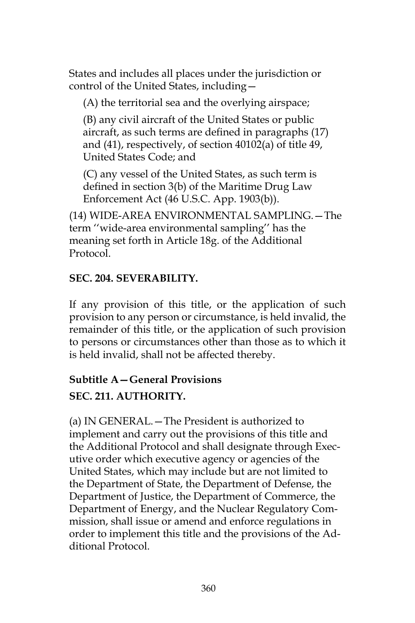States and includes all places under the jurisdiction or control of the United States, including—

(A) the territorial sea and the overlying airspace;

(B) any civil aircraft of the United States or public aircraft, as such terms are defined in paragraphs (17) and (41), respectively, of section 40102(a) of title 49, United States Code; and

(C) any vessel of the United States, as such term is defined in section 3(b) of the Maritime Drug Law Enforcement Act (46 U.S.C. App. 1903(b)).

(14) WIDE-AREA ENVIRONMENTAL SAMPLING.—The term ''wide-area environmental sampling'' has the meaning set forth in Article 18g. of the Additional Protocol.

## **SEC. 204. SEVERABILITY.**

If any provision of this title, or the application of such provision to any person or circumstance, is held invalid, the remainder of this title, or the application of such provision to persons or circumstances other than those as to which it is held invalid, shall not be affected thereby.

## **Subtitle A—General Provisions**

## **SEC. 211. AUTHORITY.**

(a) IN GENERAL.—The President is authorized to implement and carry out the provisions of this title and the Additional Protocol and shall designate through Executive order which executive agency or agencies of the United States, which may include but are not limited to the Department of State, the Department of Defense, the Department of Justice, the Department of Commerce, the Department of Energy, and the Nuclear Regulatory Commission, shall issue or amend and enforce regulations in order to implement this title and the provisions of the Additional Protocol.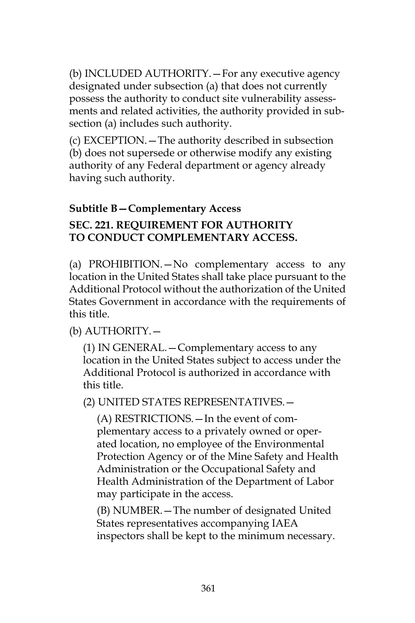(b) INCLUDED AUTHORITY.—For any executive agency designated under subsection (a) that does not currently possess the authority to conduct site vulnerability assessments and related activities, the authority provided in subsection (a) includes such authority.

(c) EXCEPTION.—The authority described in subsection (b) does not supersede or otherwise modify any existing authority of any Federal department or agency already having such authority.

## **Subtitle B—Complementary Access**

# **SEC. 221. REQUIREMENT FOR AUTHORITY TO CONDUCT COMPLEMENTARY ACCESS.**

(a) PROHIBITION.—No complementary access to any location in the United States shall take place pursuant to the Additional Protocol without the authorization of the United States Government in accordance with the requirements of this title.

## (b) AUTHORITY.—

(1) IN GENERAL.—Complementary access to any location in the United States subject to access under the Additional Protocol is authorized in accordance with this title.

## (2) UNITED STATES REPRESENTATIVES.—

(A) RESTRICTIONS.—In the event of complementary access to a privately owned or operated location, no employee of the Environmental Protection Agency or of the Mine Safety and Health Administration or the Occupational Safety and Health Administration of the Department of Labor may participate in the access.

(B) NUMBER.—The number of designated United States representatives accompanying IAEA inspectors shall be kept to the minimum necessary.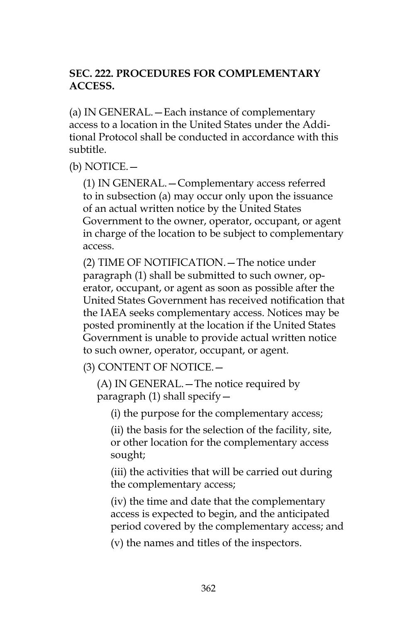## **SEC. 222. PROCEDURES FOR COMPLEMENTARY ACCESS.**

(a) IN GENERAL.—Each instance of complementary access to a location in the United States under the Additional Protocol shall be conducted in accordance with this subtitle.

(b) NOTICE.—

(1) IN GENERAL.—Complementary access referred to in subsection (a) may occur only upon the issuance of an actual written notice by the United States Government to the owner, operator, occupant, or agent in charge of the location to be subject to complementary access.

(2) TIME OF NOTIFICATION.—The notice under paragraph (1) shall be submitted to such owner, operator, occupant, or agent as soon as possible after the United States Government has received notification that the IAEA seeks complementary access. Notices may be posted prominently at the location if the United States Government is unable to provide actual written notice to such owner, operator, occupant, or agent.

(3) CONTENT OF NOTICE.—

(A) IN GENERAL.—The notice required by paragraph (1) shall specify—

(i) the purpose for the complementary access;

(ii) the basis for the selection of the facility, site, or other location for the complementary access sought;

(iii) the activities that will be carried out during the complementary access;

(iv) the time and date that the complementary access is expected to begin, and the anticipated period covered by the complementary access; and

(v) the names and titles of the inspectors.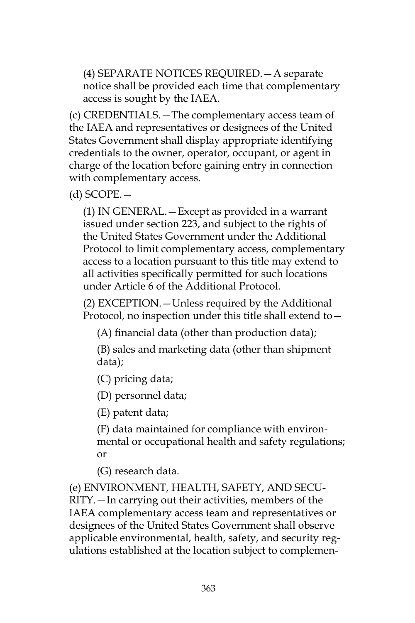(4) SEPARATE NOTICES REQUIRED.—A separate notice shall be provided each time that complementary access is sought by the IAEA.

(c) CREDENTIALS.—The complementary access team of the IAEA and representatives or designees of the United States Government shall display appropriate identifying credentials to the owner, operator, occupant, or agent in charge of the location before gaining entry in connection with complementary access.

(d) SCOPE.—

(1) IN GENERAL.—Except as provided in a warrant issued under section 223, and subject to the rights of the United States Government under the Additional Protocol to limit complementary access, complementary access to a location pursuant to this title may extend to all activities specifically permitted for such locations under Article 6 of the Additional Protocol.

(2) EXCEPTION.—Unless required by the Additional Protocol, no inspection under this title shall extend to—

(A) financial data (other than production data);

(B) sales and marketing data (other than shipment data);

(C) pricing data;

(D) personnel data;

(E) patent data;

(F) data maintained for compliance with environmental or occupational health and safety regulations; or

(G) research data.

(e) ENVIRONMENT, HEALTH, SAFETY, AND SECU-RITY.—In carrying out their activities, members of the IAEA complementary access team and representatives or designees of the United States Government shall observe applicable environmental, health, safety, and security regulations established at the location subject to complemen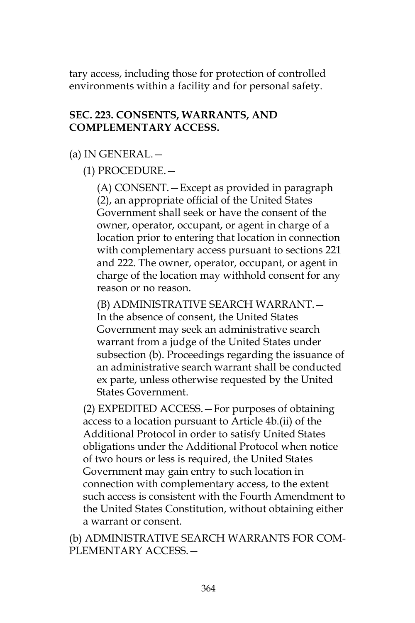tary access, including those for protection of controlled environments within a facility and for personal safety.

#### **SEC. 223. CONSENTS, WARRANTS, AND COMPLEMENTARY ACCESS.**

#### (a) IN GENERAL.—

(1) PROCEDURE.—

(A) CONSENT.—Except as provided in paragraph (2), an appropriate official of the United States Government shall seek or have the consent of the owner, operator, occupant, or agent in charge of a location prior to entering that location in connection with complementary access pursuant to sections 221 and 222. The owner, operator, occupant, or agent in charge of the location may withhold consent for any reason or no reason.

(B) ADMINISTRATIVE SEARCH WARRANT.— In the absence of consent, the United States Government may seek an administrative search warrant from a judge of the United States under subsection (b). Proceedings regarding the issuance of an administrative search warrant shall be conducted ex parte, unless otherwise requested by the United States Government.

(2) EXPEDITED ACCESS.—For purposes of obtaining access to a location pursuant to Article 4b.(ii) of the Additional Protocol in order to satisfy United States obligations under the Additional Protocol when notice of two hours or less is required, the United States Government may gain entry to such location in connection with complementary access, to the extent such access is consistent with the Fourth Amendment to the United States Constitution, without obtaining either a warrant or consent.

(b) ADMINISTRATIVE SEARCH WARRANTS FOR COM-PLEMENTARY ACCESS.—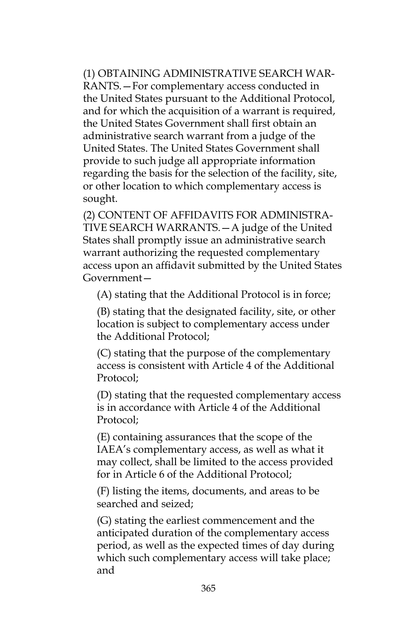(1) OBTAINING ADMINISTRATIVE SEARCH WAR-RANTS.—For complementary access conducted in the United States pursuant to the Additional Protocol, and for which the acquisition of a warrant is required, the United States Government shall first obtain an administrative search warrant from a judge of the United States. The United States Government shall provide to such judge all appropriate information regarding the basis for the selection of the facility, site, or other location to which complementary access is sought.

(2) CONTENT OF AFFIDAVITS FOR ADMINISTRA-TIVE SEARCH WARRANTS.—A judge of the United States shall promptly issue an administrative search warrant authorizing the requested complementary access upon an affidavit submitted by the United States Government—

(A) stating that the Additional Protocol is in force;

(B) stating that the designated facility, site, or other location is subject to complementary access under the Additional Protocol;

(C) stating that the purpose of the complementary access is consistent with Article 4 of the Additional Protocol;

(D) stating that the requested complementary access is in accordance with Article 4 of the Additional Protocol;

(E) containing assurances that the scope of the IAEA's complementary access, as well as what it may collect, shall be limited to the access provided for in Article 6 of the Additional Protocol;

(F) listing the items, documents, and areas to be searched and seized;

(G) stating the earliest commencement and the anticipated duration of the complementary access period, as well as the expected times of day during which such complementary access will take place; and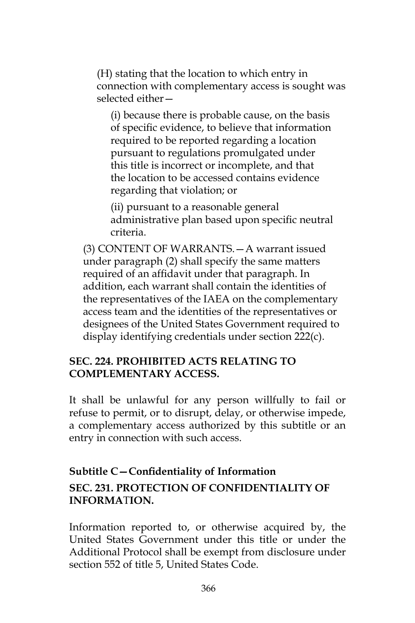(H) stating that the location to which entry in connection with complementary access is sought was selected either—

(i) because there is probable cause, on the basis of specific evidence, to believe that information required to be reported regarding a location pursuant to regulations promulgated under this title is incorrect or incomplete, and that the location to be accessed contains evidence regarding that violation; or

(ii) pursuant to a reasonable general administrative plan based upon specific neutral criteria.

(3) CONTENT OF WARRANTS.—A warrant issued under paragraph (2) shall specify the same matters required of an affidavit under that paragraph. In addition, each warrant shall contain the identities of the representatives of the IAEA on the complementary access team and the identities of the representatives or designees of the United States Government required to display identifying credentials under section 222(c).

#### **SEC. 224. PROHIBITED ACTS RELATING TO COMPLEMENTARY ACCESS.**

It shall be unlawful for any person willfully to fail or refuse to permit, or to disrupt, delay, or otherwise impede, a complementary access authorized by this subtitle or an entry in connection with such access.

# **Subtitle C—Confidentiality of Information SEC. 231. PROTECTION OF CONFIDENTIALITY OF INFORMA**T**ION.**

Information reported to, or otherwise acquired by, the United States Government under this title or under the Additional Protocol shall be exempt from disclosure under section 552 of title 5, United States Code.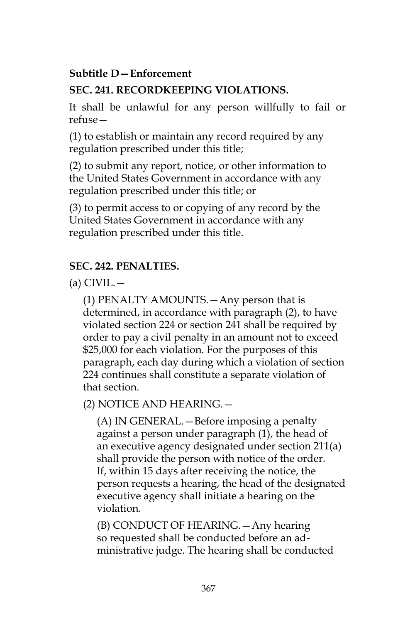## **Subtitle D—Enforcement**

## **SEC. 241. RECORDKEEPING VIOLATIONS.**

It shall be unlawful for any person willfully to fail or refuse—

(1) to establish or maintain any record required by any regulation prescribed under this title;

(2) to submit any report, notice, or other information to the United States Government in accordance with any regulation prescribed under this title; or

(3) to permit access to or copying of any record by the United States Government in accordance with any regulation prescribed under this title.

## **SEC. 242. PENALTIES.**

 $(a)$  CIVIL. $-$ 

(1) PENALTY AMOUNTS.—Any person that is determined, in accordance with paragraph (2), to have violated section 224 or section 241 shall be required by order to pay a civil penalty in an amount not to exceed \$25,000 for each violation. For the purposes of this paragraph, each day during which a violation of section 224 continues shall constitute a separate violation of that section.

(2) NOTICE AND HEARING.—

(A) IN GENERAL.—Before imposing a penalty against a person under paragraph (1), the head of an executive agency designated under section 211(a) shall provide the person with notice of the order. If, within 15 days after receiving the notice, the person requests a hearing, the head of the designated executive agency shall initiate a hearing on the violation.

(B) CONDUCT OF HEARING.—Any hearing so requested shall be conducted before an administrative judge. The hearing shall be conducted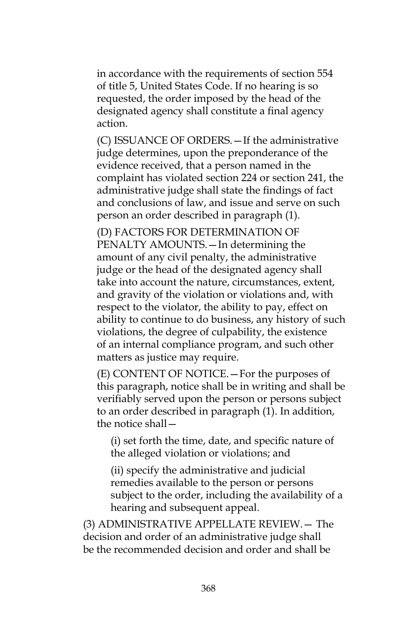in accordance with the requirements of section 554 of title 5, United States Code. If no hearing is so requested, the order imposed by the head of the designated agency shall constitute a final agency action.

(C) ISSUANCE OF ORDERS.—If the administrative judge determines, upon the preponderance of the evidence received, that a person named in the complaint has violated section 224 or section 241, the administrative judge shall state the findings of fact and conclusions of law, and issue and serve on such person an order described in paragraph (1).

(D) FACTORS FOR DETERMINATION OF PENALTY AMOUNTS.—In determining the amount of any civil penalty, the administrative judge or the head of the designated agency shall take into account the nature, circumstances, extent, and gravity of the violation or violations and, with respect to the violator, the ability to pay, effect on ability to continue to do business, any history of such violations, the degree of culpability, the existence of an internal compliance program, and such other matters as justice may require.

(E) CONTENT OF NOTICE.—For the purposes of this paragraph, notice shall be in writing and shall be verifiably served upon the person or persons subject to an order described in paragraph (1). In addition, the notice shall—

(i) set forth the time, date, and specific nature of the alleged violation or violations; and

(ii) specify the administrative and judicial remedies available to the person or persons subject to the order, including the availability of a hearing and subsequent appeal.

(3) ADMINISTRATIVE APPELLATE REVIEW.— The decision and order of an administrative judge shall be the recommended decision and order and shall be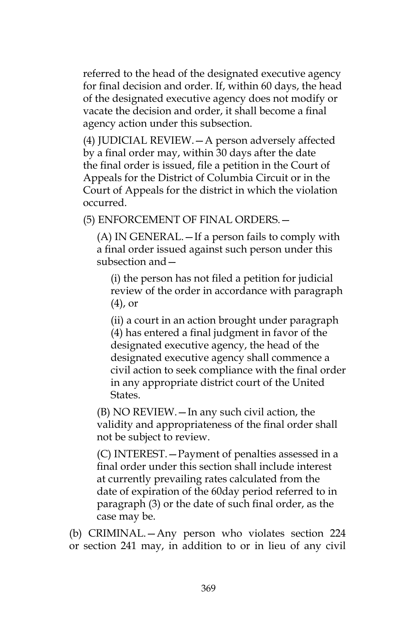referred to the head of the designated executive agency for final decision and order. If, within 60 days, the head of the designated executive agency does not modify or vacate the decision and order, it shall become a final agency action under this subsection.

(4) JUDICIAL REVIEW.—A person adversely affected by a final order may, within 30 days after the date the final order is issued, file a petition in the Court of Appeals for the District of Columbia Circuit or in the Court of Appeals for the district in which the violation occurred.

(5) ENFORCEMENT OF FINAL ORDERS.—

(A) IN GENERAL.—If a person fails to comply with a final order issued against such person under this subsection and—

(i) the person has not filed a petition for judicial review of the order in accordance with paragraph (4), or

(ii) a court in an action brought under paragraph (4) has entered a final judgment in favor of the designated executive agency, the head of the designated executive agency shall commence a civil action to seek compliance with the final order in any appropriate district court of the United States.

(B) NO REVIEW.—In any such civil action, the validity and appropriateness of the final order shall not be subject to review.

(C) INTEREST.—Payment of penalties assessed in a final order under this section shall include interest at currently prevailing rates calculated from the date of expiration of the 60day period referred to in paragraph (3) or the date of such final order, as the case may be.

(b) CRIMINAL.—Any person who violates section 224 or section 241 may, in addition to or in lieu of any civil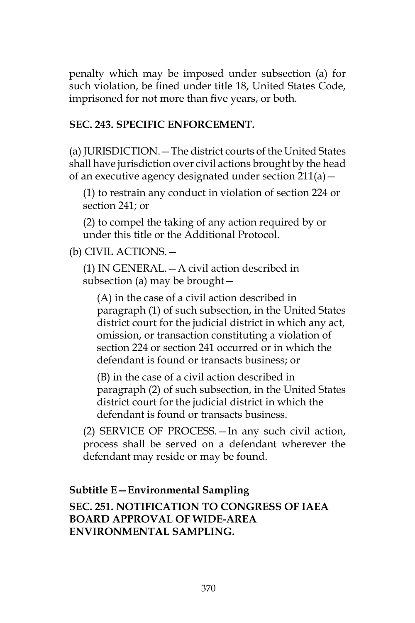penalty which may be imposed under subsection (a) for such violation, be fined under title 18, United States Code, imprisoned for not more than five years, or both.

#### **SEC. 243. SPECIFIC ENFORCEMENT.**

(a) JURISDICTION.—The district courts of the United States shall have jurisdiction over civil actions brought by the head of an executive agency designated under section 211(a)—

(1) to restrain any conduct in violation of section 224 or section 241; or

(2) to compel the taking of any action required by or under this title or the Additional Protocol.

(b) CIVIL ACTIONS.—

(1) IN GENERAL.—A civil action described in subsection (a) may be brought—

(A) in the case of a civil action described in paragraph (1) of such subsection, in the United States district court for the judicial district in which any act, omission, or transaction constituting a violation of section 224 or section 241 occurred or in which the defendant is found or transacts business; or

(B) in the case of a civil action described in paragraph (2) of such subsection, in the United States district court for the judicial district in which the defendant is found or transacts business.

(2) SERVICE OF PROCESS.—In any such civil action, process shall be served on a defendant wherever the defendant may reside or may be found.

#### **Subtitle E—Environmental Sampling**

**SEC. 251. NOTIFICATION TO CONGRESS OF IAEA BOARD APPROVAL OF WIDE-AREA ENVIRONMENTAL SAMPLING.**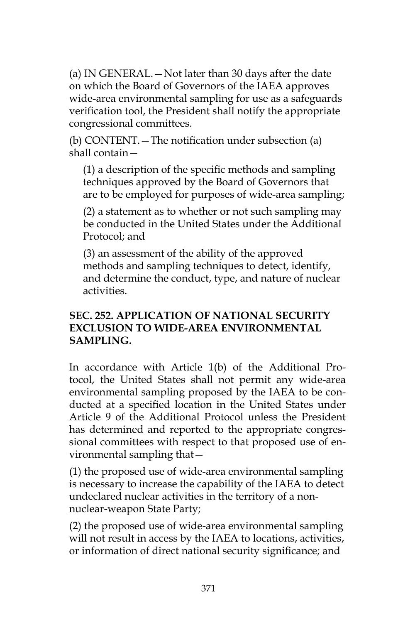(a) IN GENERAL.—Not later than 30 days after the date on which the Board of Governors of the IAEA approves wide-area environmental sampling for use as a safeguards verification tool, the President shall notify the appropriate congressional committees.

(b) CONTENT.—The notification under subsection (a) shall contain—

(1) a description of the specific methods and sampling techniques approved by the Board of Governors that are to be employed for purposes of wide-area sampling;

(2) a statement as to whether or not such sampling may be conducted in the United States under the Additional Protocol; and

(3) an assessment of the ability of the approved methods and sampling techniques to detect, identify, and determine the conduct, type, and nature of nuclear activities.

#### **SEC. 252. APPLICATION OF NATIONAL SECURITY EXCLUSION TO WIDE-AREA ENVIRONMENTAL SAMPLING.**

In accordance with Article 1(b) of the Additional Protocol, the United States shall not permit any wide-area environmental sampling proposed by the IAEA to be conducted at a specified location in the United States under Article 9 of the Additional Protocol unless the President has determined and reported to the appropriate congressional committees with respect to that proposed use of environmental sampling that—

(1) the proposed use of wide-area environmental sampling is necessary to increase the capability of the IAEA to detect undeclared nuclear activities in the territory of a nonnuclear-weapon State Party;

(2) the proposed use of wide-area environmental sampling will not result in access by the IAEA to locations, activities, or information of direct national security significance; and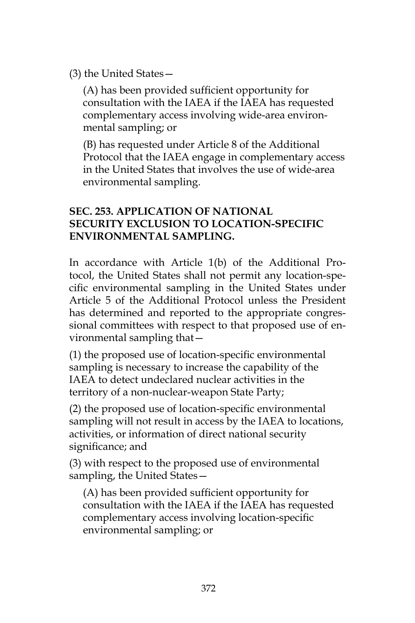(3) the United States—

(A) has been provided sufficient opportunity for consultation with the IAEA if the IAEA has requested complementary access involving wide-area environmental sampling; or

(B) has requested under Article 8 of the Additional Protocol that the IAEA engage in complementary access in the United States that involves the use of wide-area environmental sampling.

#### **SEC. 253. APPLICATION OF NATIONAL SECURITY EXCLUSION TO LOCATION-SPECIFIC ENVIRONMENTAL SAMPLING.**

In accordance with Article 1(b) of the Additional Protocol, the United States shall not permit any location-specific environmental sampling in the United States under Article 5 of the Additional Protocol unless the President has determined and reported to the appropriate congressional committees with respect to that proposed use of environmental sampling that—

(1) the proposed use of location-specific environmental sampling is necessary to increase the capability of the IAEA to detect undeclared nuclear activities in the territory of a non-nuclear-weapon State Party;

(2) the proposed use of location-specific environmental sampling will not result in access by the IAEA to locations, activities, or information of direct national security significance; and

(3) with respect to the proposed use of environmental sampling, the United States—

(A) has been provided sufficient opportunity for consultation with the IAEA if the IAEA has requested complementary access involving location-specific environmental sampling; or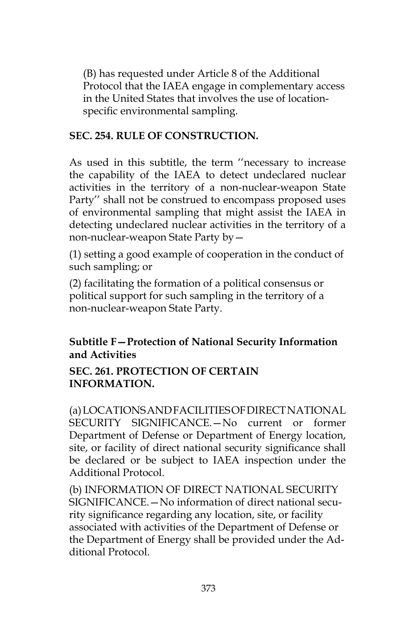(B) has requested under Article 8 of the Additional Protocol that the IAEA engage in complementary access in the United States that involves the use of locationspecific environmental sampling.

#### **SEC. 254. RULE OF CONSTRUCTION.**

As used in this subtitle, the term ''necessary to increase the capability of the IAEA to detect undeclared nuclear activities in the territory of a non-nuclear-weapon State Party'' shall not be construed to encompass proposed uses of environmental sampling that might assist the IAEA in detecting undeclared nuclear activities in the territory of a non-nuclear-weapon State Party by—

(1) setting a good example of cooperation in the conduct of such sampling; or

(2) facilitating the formation of a political consensus or political support for such sampling in the territory of a non-nuclear-weapon State Party.

## **Subtitle F—Protection of National Security Information and Activities**

#### **SEC. 261. PROTECTION OF CERTAIN INFORMATION.**

(a) LOCATIONS AND FACILITIES OF DIRECT NATIONAL SECURITY SIGNIFICANCE.—No current or former Department of Defense or Department of Energy location, site, or facility of direct national security significance shall be declared or be subject to IAEA inspection under the Additional Protocol.

(b) INFORMATION OF DIRECT NATIONAL SECURITY SIGNIFICANCE.—No information of direct national security significance regarding any location, site, or facility associated with activities of the Department of Defense or the Department of Energy shall be provided under the Additional Protocol.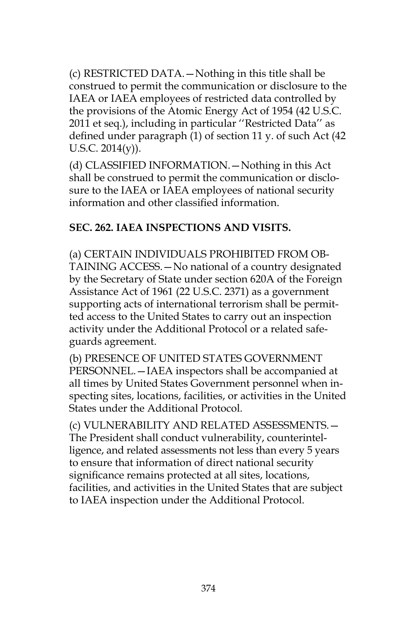(c) RESTRICTED DATA.—Nothing in this title shall be construed to permit the communication or disclosure to the IAEA or IAEA employees of restricted data controlled by the provisions of the Atomic Energy Act of 1954 (42 U.S.C. 2011 et seq.), including in particular ''Restricted Data'' as defined under paragraph (1) of section 11 y. of such Act (42 U.S.C. 2014(y)).

(d) CLASSIFIED INFORMATION.—Nothing in this Act shall be construed to permit the communication or disclosure to the IAEA or IAEA employees of national security information and other classified information.

## **SEC. 262. IAEA INSPECTIONS AND VISITS.**

(a) CERTAIN INDIVIDUALS PROHIBITED FROM OB-TAINING ACCESS.—No national of a country designated by the Secretary of State under section 620A of the Foreign Assistance Act of 1961 (22 U.S.C. 2371) as a government supporting acts of international terrorism shall be permitted access to the United States to carry out an inspection activity under the Additional Protocol or a related safeguards agreement.

(b) PRESENCE OF UNITED STATES GOVERNMENT PERSONNEL.—IAEA inspectors shall be accompanied at all times by United States Government personnel when inspecting sites, locations, facilities, or activities in the United States under the Additional Protocol.

(c) VULNERABILITY AND RELATED ASSESSMENTS.— The President shall conduct vulnerability, counterintelligence, and related assessments not less than every 5 years to ensure that information of direct national security significance remains protected at all sites, locations, facilities, and activities in the United States that are subject to IAEA inspection under the Additional Protocol.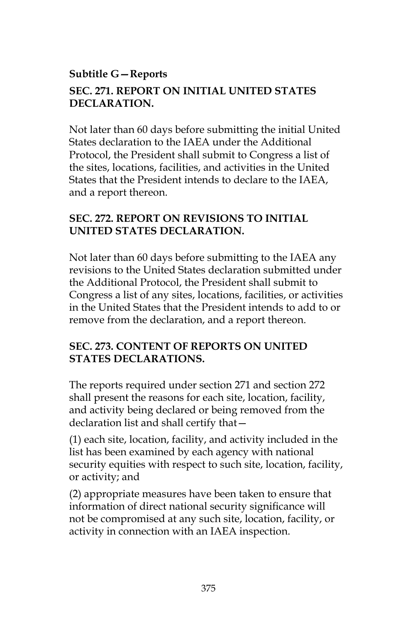## **Subtitle G—Reports SEC. 271. REPORT ON INITIAL UNITED STATES DECLARATION.**

Not later than 60 days before submitting the initial United States declaration to the IAEA under the Additional Protocol, the President shall submit to Congress a list of the sites, locations, facilities, and activities in the United States that the President intends to declare to the IAEA, and a report thereon.

#### **SEC. 272. REPORT ON REVISIONS TO INITIAL UNITED STATES DECLARATION.**

Not later than 60 days before submitting to the IAEA any revisions to the United States declaration submitted under the Additional Protocol, the President shall submit to Congress a list of any sites, locations, facilities, or activities in the United States that the President intends to add to or remove from the declaration, and a report thereon.

#### **SEC. 273. CONTENT OF REPORTS ON UNITED STATES DECLARATIONS.**

The reports required under section 271 and section 272 shall present the reasons for each site, location, facility, and activity being declared or being removed from the declaration list and shall certify that—

(1) each site, location, facility, and activity included in the list has been examined by each agency with national security equities with respect to such site, location, facility, or activity; and

(2) appropriate measures have been taken to ensure that information of direct national security significance will not be compromised at any such site, location, facility, or activity in connection with an IAEA inspection.